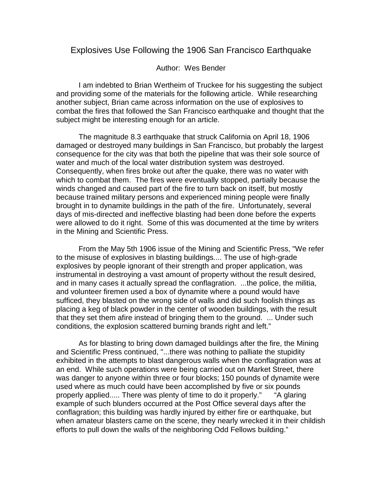## Explosives Use Following the 1906 San Francisco Earthquake

## Author: Wes Bender

I am indebted to Brian Wertheim of Truckee for his suggesting the subject and providing some of the materials for the following article. While researching another subject, Brian came across information on the use of explosives to combat the fires that followed the San Francisco earthquake and thought that the subject might be interesting enough for an article.

The magnitude 8.3 earthquake that struck California on April 18, 1906 damaged or destroyed many buildings in San Francisco, but probably the largest consequence for the city was that both the pipeline that was their sole source of water and much of the local water distribution system was destroyed. Consequently, when fires broke out after the quake, there was no water with which to combat them. The fires were eventually stopped, partially because the winds changed and caused part of the fire to turn back on itself, but mostly because trained military persons and experienced mining people were finally brought in to dynamite buildings in the path of the fire. Unfortunately, several days of mis-directed and ineffective blasting had been done before the experts were allowed to do it right. Some of this was documented at the time by writers in the Mining and Scientific Press.

From the May 5th 1906 issue of the Mining and Scientific Press, "We refer to the misuse of explosives in blasting buildings.... The use of high-grade explosives by people ignorant of their strength and proper application, was instrumental in destroying a vast amount of property without the result desired, and in many cases it actually spread the conflagration. ...the police, the militia, and volunteer firemen used a box of dynamite where a pound would have sufficed, they blasted on the wrong side of walls and did such foolish things as placing a keg of black powder in the center of wooden buildings, with the result that they set them afire instead of bringing them to the ground. ... Under such conditions, the explosion scattered burning brands right and left."

As for blasting to bring down damaged buildings after the fire, the Mining and Scientific Press continued, "...there was nothing to palliate the stupidity exhibited in the attempts to blast dangerous walls when the conflagration was at an end. While such operations were being carried out on Market Street, there was danger to anyone within three or four blocks; 150 pounds of dynamite were used where as much could have been accomplished by five or six pounds properly applied..... There was plenty of time to do it properly." "A glaring example of such blunders occurred at the Post Office several days after the conflagration; this building was hardly injured by either fire or earthquake, but when amateur blasters came on the scene, they nearly wrecked it in their childish efforts to pull down the walls of the neighboring Odd Fellows building."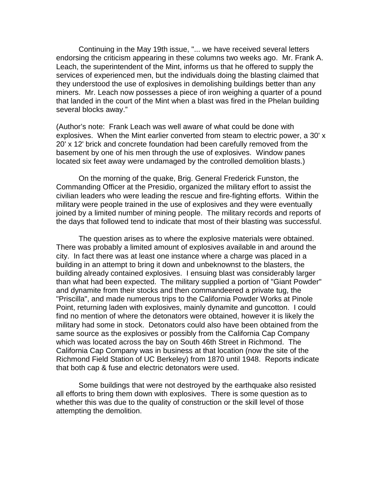Continuing in the May 19th issue, "... we have received several letters endorsing the criticism appearing in these columns two weeks ago. Mr. Frank A. Leach, the superintendent of the Mint, informs us that he offered to supply the services of experienced men, but the individuals doing the blasting claimed that they understood the use of explosives in demolishing buildings better than any miners. Mr. Leach now possesses a piece of iron weighing a quarter of a pound that landed in the court of the Mint when a blast was fired in the Phelan building several blocks away."

(Author's note: Frank Leach was well aware of what could be done with explosives. When the Mint earlier converted from steam to electric power, a 30' x 20' x 12' brick and concrete foundation had been carefully removed from the basement by one of his men through the use of explosives. Window panes located six feet away were undamaged by the controlled demolition blasts.)

On the morning of the quake, Brig. General Frederick Funston, the Commanding Officer at the Presidio, organized the military effort to assist the civilian leaders who were leading the rescue and fire-fighting efforts. Within the military were people trained in the use of explosives and they were eventually joined by a limited number of mining people. The military records and reports of the days that followed tend to indicate that most of their blasting was successful.

The question arises as to where the explosive materials were obtained. There was probably a limited amount of explosives available in and around the city. In fact there was at least one instance where a charge was placed in a building in an attempt to bring it down and unbeknownst to the blasters, the building already contained explosives. I ensuing blast was considerably larger than what had been expected. The military supplied a portion of "Giant Powder" and dynamite from their stocks and then commandeered a private tug, the "Priscilla", and made numerous trips to the California Powder Works at Pinole Point, returning laden with explosives, mainly dynamite and guncotton. I could find no mention of where the detonators were obtained, however it is likely the military had some in stock. Detonators could also have been obtained from the same source as the explosives or possibly from the California Cap Company which was located across the bay on South 46th Street in Richmond. The California Cap Company was in business at that location (now the site of the Richmond Field Station of UC Berkeley) from 1870 until 1948. Reports indicate that both cap & fuse and electric detonators were used.

Some buildings that were not destroyed by the earthquake also resisted all efforts to bring them down with explosives. There is some question as to whether this was due to the quality of construction or the skill level of those attempting the demolition.